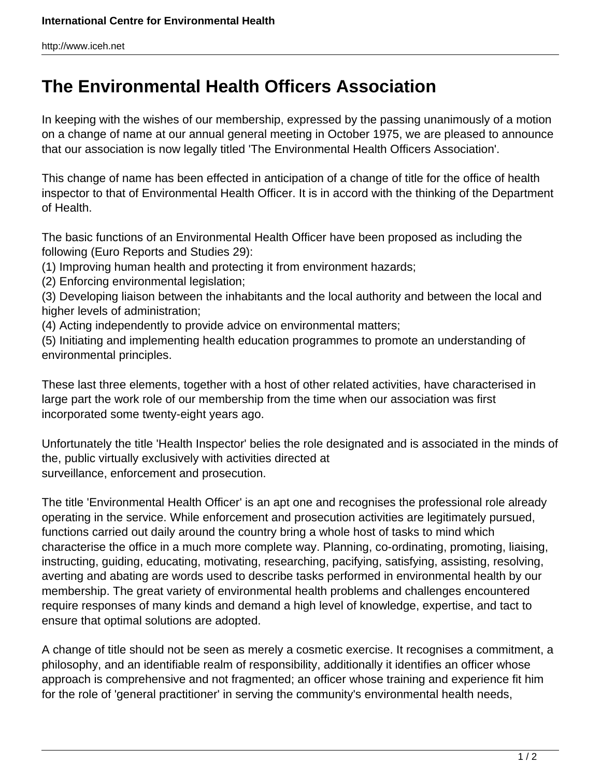http://www.iceh.net

## **The Environmental Health Officers Association**

In keeping with the wishes of our membership, expressed by the passing unanimously of a motion on a change of name at our annual general meeting in October 1975, we are pleased to announce that our association is now legally titled 'The Environmental Health Officers Association'.

This change of name has been effected in anticipation of a change of title for the office of health inspector to that of Environmental Health Officer. It is in accord with the thinking of the Department of Health.

The basic functions of an Environmental Health Officer have been proposed as including the following (Euro Reports and Studies 29):

- (1) Improving human health and protecting it from environment hazards;
- (2) Enforcing environmental legislation;

(3) Developing liaison between the inhabitants and the local authority and between the local and higher levels of administration;

(4) Acting independently to provide advice on environmental matters;

(5) Initiating and implementing health education programmes to promote an understanding of environmental principles.

These last three elements, together with a host of other related activities, have characterised in large part the work role of our membership from the time when our association was first incorporated some twenty-eight years ago.

Unfortunately the title 'Health Inspector' belies the role designated and is associated in the minds of the, public virtually exclusively with activities directed at surveillance, enforcement and prosecution.

The title 'Environmental Health Officer' is an apt one and recognises the professional role already operating in the service. While enforcement and prosecution activities are legitimately pursued, functions carried out daily around the country bring a whole host of tasks to mind which characterise the office in a much more complete way. Planning, co-ordinating, promoting, liaising, instructing, guiding, educating, motivating, researching, pacifying, satisfying, assisting, resolving, averting and abating are words used to describe tasks performed in environmental health by our membership. The great variety of environmental health problems and challenges encountered require responses of many kinds and demand a high level of knowledge, expertise, and tact to ensure that optimal solutions are adopted.

A change of title should not be seen as merely a cosmetic exercise. It recognises a commitment, a philosophy, and an identifiable realm of responsibility, additionally it identifies an officer whose approach is comprehensive and not fragmented; an officer whose training and experience fit him for the role of 'general practitioner' in serving the community's environmental health needs,